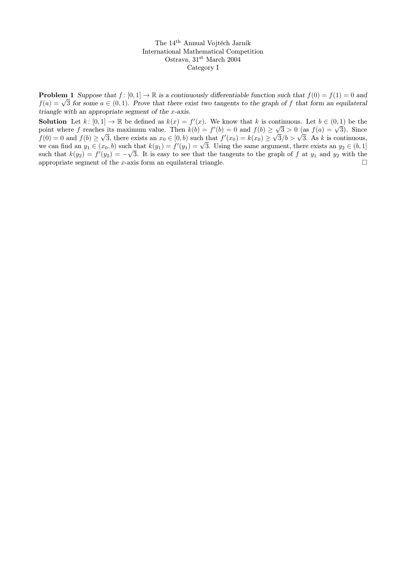The 14th Annual Vojtěch Jarník International Mathematical Competition Ostrava, 31<sup>st</sup> March 2004 Category I

**Problem 1** Suppose that  $f : [0, 1] \to \mathbb{R}$  is a continuously differentiable function such that  $f(0) = f(1) = 0$  and **Froblem 1** suppose that  $j: [0, 1] \to \mathbb{R}$  is a continuously differentiable function such that  $j(0) = j(1) = 0$  and  $f(a) = \sqrt{3}$  for some  $a \in (0, 1)$ . Prove that there exist two tangents to the graph of f that form an equil triangle with an appropriate segment of the x-axis.

**Solution** Let  $k: [0,1] \to \mathbb{R}$  be defined as  $k(x) = f'(x)$ . We know that k is continuous. Let  $b \in (0,1)$  be the **Solution** Let  $k: [0, 1] \to \mathbb{R}$  be defined as  $k(x) = f'(x)$ . We know that  $k$  is continuous. Let  $b \in (0, 1)$  be the point where  $f$  reaches its maximum value. Then  $k(b) = f'(b) = 0$  and  $f(b) \ge \sqrt{3} > 0$  (as  $f(a) = \sqrt{3}$ ). Since point where f reaches its maximum value. Then  $k(0) = f'(0) = 0$  and  $f(0) \ge \sqrt{3} > 0$  (as  $f(a) = \sqrt{3}$ ). Since  $f(0) = 0$  and  $f(b) \ge \sqrt{3}$ , there exists an  $x_0 \in [0, b)$  such that  $f'(x_0) = k(x_0) \ge \sqrt{3}/b > \sqrt{3}$ . As k is continuous  $f(0) = 0$  and  $f(0) \ge \sqrt{3}$ , there exists an  $x_0 \in [0, b)$  such that  $f'(x_0) = \kappa(x_0) \ge \sqrt{3}/b > \sqrt{3}$ . As  $\kappa$  is continuous,<br>we can find an  $y_1 \in (x_0, b)$  such that  $k(y_1) = f'(y_1) = \sqrt{3}$ . Using the same argument, there exis such that  $k(y_2) = f'(y_2) = -\sqrt{3}$ . It is easy to see that the tangents to the graph of f at  $y_1$  and  $y_2$  with the appropriate segment of the x-axis form an equilateral triangle.  $\Box$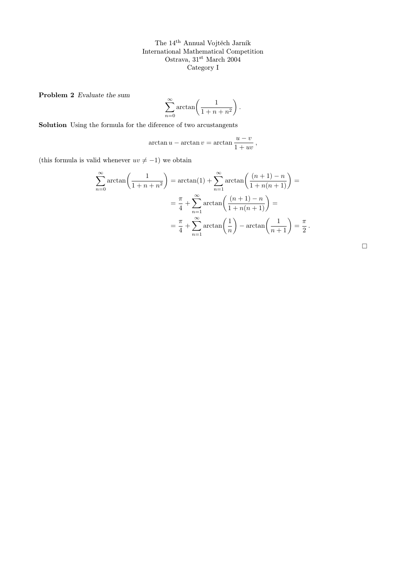The 14th Annual Vojtěch Jarník International Mathematical Competition Ostrava, $31^{\rm st}$ March $2004$ Category I

Problem 2 Evaluate the sum

$$
\sum_{n=0}^{\infty} \arctan\left(\frac{1}{1+n+n^2}\right).
$$

Solution Using the formula for the diference of two arcustangents

$$
\arctan u - \arctan v = \arctan \frac{u - v}{1 + uv},
$$

(this formula is valid whenever  $uv \neq -1$ ) we obtain

$$
\sum_{n=0}^{\infty} \arctan\left(\frac{1}{1+n+n^2}\right) = \arctan(1) + \sum_{n=1}^{\infty} \arctan\left(\frac{(n+1)-n}{1+n(n+1)}\right) =
$$

$$
= \frac{\pi}{4} + \sum_{n=1}^{\infty} \arctan\left(\frac{(n+1)-n}{1+n(n+1)}\right) =
$$

$$
= \frac{\pi}{4} + \sum_{n=1}^{\infty} \arctan\left(\frac{1}{n}\right) - \arctan\left(\frac{1}{n+1}\right) = \frac{\pi}{2}.
$$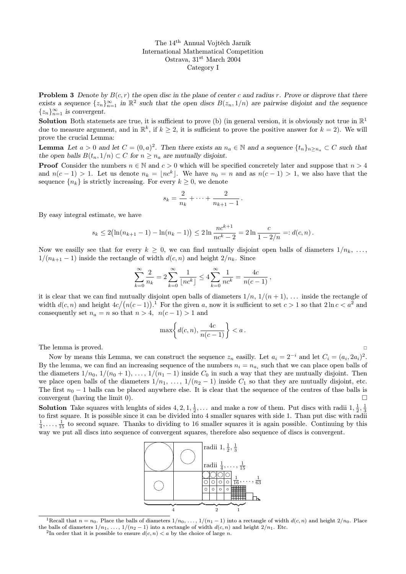The 14th Annual Vojtěch Jarník International Mathematical Competition Ostrava, 31st March 2004 Category I

**Problem 3** Denote by  $B(c, r)$  the open disc in the plane of center c and radius r. Prove or disprove that there exists a sequence  $\{z_n\}_{n=1}^{\infty}$  in  $\mathbb{R}^2$  such that the open discs  $B(z_n, 1/n)$  are pairwise disjoint and the sequence  $\{z_n\}_{n=1}^{\infty}$  is convergent.

**Solution** Both statemets are true, it is sufficient to prove (b) (in general version, it is obviously not true in  $\mathbb{R}^1$ due to measure argument, and in  $\mathbb{R}^k$ , if  $k \geq 2$ , it is sufficient to prove the positive answer for  $k = 2$ ). We will prove the crucial Lemma:

**Lemma** Let  $a > 0$  and let  $C = (0, a)^2$ . Then there exists an  $n_a \in \mathbb{N}$  and a sequence  $\{t_n\}_{n \ge n_a} \subset C$  such that the open balls  $B(t_n, 1/n) \subset C$  for  $n \geq n_a$  are mutually disjoint.

**Proof** Consider the numbers  $n \in \mathbb{N}$  and  $c > 0$  which will be specified concretely later and suppose that  $n > 4$ and  $n(c-1) > 1$ . Let us denote  $n_k = \lfloor n c^k \rfloor$ . We have  $n_0 = n$  and as  $n(c-1) > 1$ , we also have that the sequence  ${n_k}$  is strictly increasing. For every  $k \geq 0$ , we denote

$$
s_k = \frac{2}{n_k} + \dots + \frac{2}{n_{k+1} - 1}
$$

.

By easy integral estimate, we have

$$
s_k \le 2(\ln(n_{k+1}-1) - \ln(n_k-1)) \le 2\ln \frac{nc^{k+1}}{nc^k-2} = 2\ln \frac{c}{1-2/n} =: d(c, n).
$$

Now we easilly see that for every  $k \geq 0$ , we can find mutually disjoint open balls of diameters  $1/n_k, \ldots$  $1/(n_{k+1} - 1)$  inside the rectangle of width  $d(c, n)$  and height  $2/n_k$ . Since

$$
\sum_{k=0}^{\infty} \frac{2}{n_k} = 2 \sum_{k=0}^{\infty} \frac{1}{\lfloor n c^k \rfloor} \le 4 \sum_{k=0}^{\infty} \frac{1}{n c^k} = \frac{4c}{n(c-1)},
$$

it is clear that we can find mutually disjoint open balls of diameters  $1/n$ ,  $1/(n+1)$ , ... inside the rectangle of width  $d(c, n)$  and height  $4c/(n(c-1))$ .<sup>1</sup> For the given a, now it is sufficient to set  $c > 1$  so that  $2 \ln c < a^2$  and consequently set  $n_a = n$  so that  $n > 4$ ,  $n(c - 1) > 1$  and

$$
\max\left\{d(c,n), \frac{4c}{n(c-1)}\right\} < a.
$$

The lemma is proved.

Now by means this Lemma, we can construct the sequence  $z_n$  easilly. Let  $a_i = 2^{-i}$  and let  $C_i = (a_i, 2a_i)^2$ . By the lemma, we can find an increasing sequence of the numbers  $n_i = n_{a_i}$  such that we can place open balls of the diameters  $1/n_0$ ,  $1/(n_0 + 1)$ , ...,  $1/(n_1 - 1)$  inside  $C_0$  in such a way that they are mutually disjoint. Then we place open balls of the diameters  $1/n_1, \ldots, 1/(n_2 - 1)$  inside  $C_1$  so that they are mutually disjoint, etc. The first  $n_0 - 1$  balls can be placed anywhere else. It is clear that the sequence of the centres of thse balls is convergent (having the limit 0).  $\Box$ 

**Solution** Take squares with lenghts of sides  $4, 2, 1, \frac{1}{2}, \ldots$  and make a row of them. Put discs with radii  $1, \frac{1}{2}, \frac{1}{3}$ to first square. It is possible since it can be divided into 4 smaller squares with side 1. Than put disc with radii  $\frac{1}{4}, \ldots, \frac{1}{15}$  to second square. Thanks to dividing to 16 smaller squares it is again possible. Continuing by this way we put all discs into sequence of convergent squares, therefore also sequence of discs is convergent.



<sup>&</sup>lt;sup>1</sup>Recall that  $n = n_0$ . Place the balls of diameters  $1/n_0, \ldots, 1/(n_1 - 1)$  into a rectangle of width  $d(c, n)$  and height  $2/n_0$ . Place the balls of diameters  $1/n_1, \ldots, 1/(n_2 - 1)$  into a rectangle of width  $d(c, n)$  and height  $2/n_1$ . Etc.

<sup>&</sup>lt;sup>2</sup>In order that it is possible to ensure  $d(c, n) < a$  by the choice of large *n*.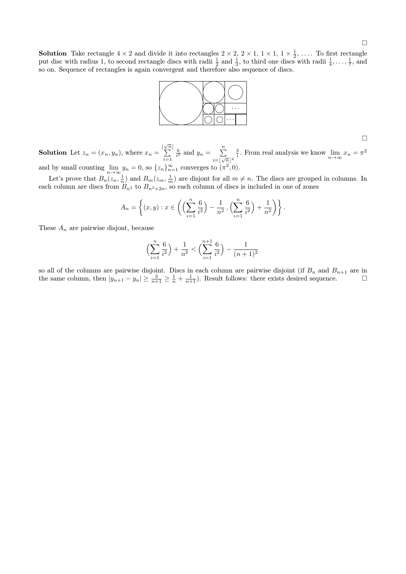$\Box$ 

**Solution** Take rectangle  $4 \times 2$  and divide it into rectangles  $2 \times 2$ ,  $2 \times 1$ ,  $1 \times 1$ ,  $1 \times \frac{1}{2}$ , .... To first rectangle put disc with radius 1, to second rectangle discs with radii  $\frac{1}{2}$  and  $\frac{1}{3}$ , to third one discs with radii  $\frac{1}{4}, \ldots, \frac{1}{7}$ , and so on. Sequence of rectangles is again convergent and therefore also sequence of discs.



 $\Box$ 

**Solution** Let  $z_n = (x_n, y_n)$ , where  $x_n =$  $\frac{\lfloor \sqrt{n} \rfloor}{\sum}$  $i=1$  $rac{6}{i^2}$  and  $y_n = \sum_{n=1}^n$  $i = \lfloor \sqrt{n} \rfloor^2$  $\frac{3}{i}$ . From real analysis we know  $\lim_{n\to\infty} x_n = \pi^2$ and by small counting  $\lim_{n \to \infty} y_n = 0$ , so  $\{z_n\}_{n=1}^{\infty}$  converges to  $(\pi^2, 0)$ .

Let's prove that  $B_n(z_n, \frac{1}{n})$  and  $B_m(z_m, \frac{1}{m})$  are disjont for all  $m \neq n$ . The discs are grouped in columns. In each column are discs from  $B_{n^2}$  to  $B_{n^2+2n}$ , so each column of discs is included in one of zones

$$
A_n = \left\{ (x, y) : x \in \left( \left( \sum_{i=1}^n \frac{6}{i^2} \right) - \frac{1}{n^2}, \left( \sum_{i=1}^n \frac{6}{i^2} \right) + \frac{1}{n^2} \right) \right\}.
$$

These  $A_n$  are pairwise disjont, because

$$
\left(\sum_{i=1}^{n} \frac{6}{i^2}\right) + \frac{1}{n^2} < \left(\sum_{i=1}^{n+1} \frac{6}{i^2}\right) - \frac{1}{(n+1)^2}
$$

so all of the columns are pairwise disjoint. Discs in each column are pairwise disjoint (if  $B_n$  and  $B_{n+1}$  are in the same column, then  $|y_{n+1} - y_n| \ge \frac{3}{n+1} \ge \frac{1}{n} + \frac{1}{n+1}$ . Result follows: there exists desired sequence.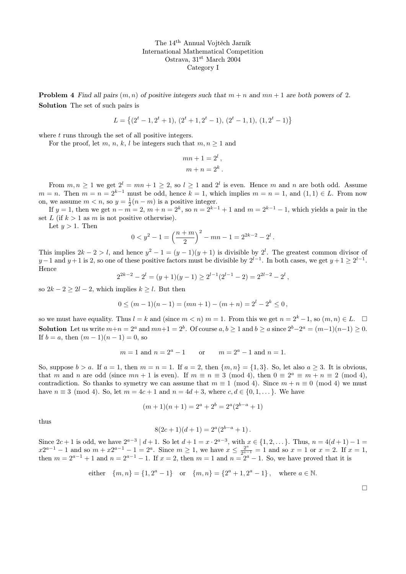The 14th Annual Vojtěch Jarník International Mathematical Competition Ostrava, 31st March 2004 Category I

**Problem 4** Find all pairs  $(m, n)$  of positive integers such that  $m + n$  and  $mn + 1$  are both powers of 2. Solution The set of such pairs is

$$
L = \{(2^t - 1, 2^t + 1), (2^t + 1, 2^t - 1), (2^t - 1, 1), (1, 2^t - 1)\}
$$

where t runs through the set of all positive integers.

For the proof, let m, n, k, l be integers such that  $m, n \geq 1$  and

$$
mn + 1 = 2l,
$$
  

$$
m + n = 2k.
$$

From  $m, n \geq 1$  we get  $2^l = mn + 1 \geq 2$ , so  $l \geq 1$  and  $2^l$  is even. Hence m and n are both odd. Assume  $m = n$ . Then  $m = n = 2^{k-1}$  must be odd, hence  $k = 1$ , which implies  $m = n = 1$ , and  $(1, 1) \in L$ . From now on, we assume  $m < n$ , so  $y = \frac{1}{2}(n-m)$  is a positive integer.

If  $y = 1$ , then we get  $n - m = 2$ ,  $m + n = 2<sup>k</sup>$ , so  $n = 2<sup>k-1</sup> + 1$  and  $m = 2<sup>k-1</sup> - 1$ , which yields a pair in the set L (if  $k > 1$  as m is not positive otherwise).

Let  $y > 1$ . Then

$$
0 < y^{2} - 1 = \left(\frac{n+m}{2}\right)^{2} - mn - 1 = 2^{2k-2} - 2^{l}.
$$

This implies  $2k - 2 > l$ , and hence  $y^2 - 1 = (y - 1)(y + 1)$  is divisible by  $2^l$ . The greatest common divisor of  $y-1$  and  $y+1$  is 2, so one of these positive factors must be divisible by  $2^{l-1}$ . In both cases, we get  $y+1 \geq 2^{l-1}$ . Hence

$$
2^{2k-2} - 2^l = (y+1)(y-1) \ge 2^{l-1}(2^{l-1} - 2) = 2^{2l-2} - 2^l,
$$

so  $2k - 2 \ge 2l - 2$ , which implies  $k \ge l$ . But then

$$
0 \le (m-1)(n-1) = (mn+1) - (m+n) = 2^l - 2^k \le 0,
$$

so we must have equality. Thus  $l = k$  and (since  $m < n$ )  $m = 1$ . From this we get  $n = 2<sup>k</sup> - 1$ , so  $(m, n) \in L$ .  $\Box$ **Solution** Let us write  $m+n = 2^a$  and  $mn+1 = 2^b$ . Of course  $a, b \ge 1$  and  $b \ge a$  since  $2^b - 2^a = (m-1)(n-1) \ge 0$ . If  $b = a$ , then  $(m - 1)(n - 1) = 0$ , so

$$
m = 1
$$
 and  $n = 2a - 1$  or  $m = 2a - 1$  and  $n = 1$ .

So, suppose  $b > a$ . If  $a = 1$ , then  $m = n = 1$ . If  $a = 2$ , then  $\{m, n\} = \{1, 3\}$ . So, let also  $a \geq 3$ . It is obvious, that m and n are odd (since  $mn + 1$  is even). If  $m \equiv n \equiv 3 \pmod{4}$ , then  $0 \equiv 2^a \equiv m + n \equiv 2 \pmod{4}$ , contradiction. So thanks to symetry we can assume that  $m \equiv 1 \pmod{4}$ . Since  $m + n \equiv 0 \pmod{4}$  we must have  $n \equiv 3 \pmod{4}$ . So, let  $m = 4c + 1$  and  $n = 4d + 3$ , where  $c, d \in \{0, 1, \ldots\}$ . We have

$$
(m+1)(n+1) = 2a + 2b = 2a(2b-a + 1)
$$

thus

$$
8(2c+1)(d+1) = 2^{a}(2^{b-a}+1).
$$

Since  $2c+1$  is odd, we have  $2^{a-3} | d+1$ . So let  $d+1 = x \cdot 2^{a-3}$ , with  $x \in \{1, 2, \dots\}$ . Thus,  $n = 4(d+1) - 1 =$  $x2^{a-1} - 1$  and so  $m + x2^{a-1} - 1 = 2^a$ . Since  $m \ge 1$ , we have  $x \le \frac{2^a}{2^{a-1}}$  $\frac{2^x}{2^{a-1}} = 1$  and so  $x = 1$  or  $x = 2$ . If  $x = 1$ , then  $m = 2^{a-1} + 1$  and  $n = 2^{a-1} - 1$ . If  $x = 2$ , then  $m = 1$  and  $n = 2^a - 1$ . So, we have proved that it is

either 
$$
\{m, n\} = \{1, 2^a - 1\}
$$
 or  $\{m, n\} = \{2^a + 1, 2^a - 1\}$ , where  $a \in \mathbb{N}$ .

 $\Box$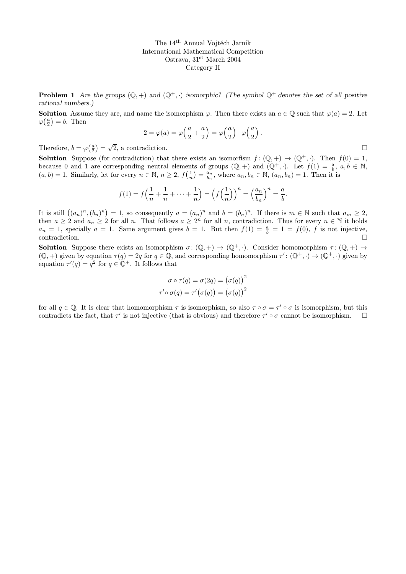The 14th Annual Vojtěch Jarník International Mathematical Competition Ostrava, 31st March 2004 Category II

**Problem 1** Are the groups  $(\mathbb{Q}, +)$  and  $(\mathbb{Q}^+, \cdot)$  isomorphic? (The symbol  $\mathbb{Q}^+$  denotes the set of all positive rational numbers.)

**Solution** Assume they are, and name the isomorphism  $\varphi$ . Then there exists an  $a \in \mathbb{Q}$  such that  $\varphi(a) = 2$ . Let  $\varphi(\frac{a}{2}) = b$ . Then

$$
2 = \varphi(a) = \varphi\left(\frac{a}{2} + \frac{a}{2}\right) = \varphi\left(\frac{a}{2}\right) \cdot \varphi\left(\frac{a}{2}\right).
$$

Therefore,  $b = \varphi(\frac{a}{2}) =$  $\sqrt{2}$ , a contradiction.

**Solution** Suppose (for contradiction) that there exists an isomorfism  $f : (\mathbb{Q}, +) \to (\mathbb{Q}^+, \cdot)$ . Then  $f(0) = 1$ , because 0 and 1 are corresponding neutral elements of groups  $(\mathbb{Q}, +)$  and  $(\mathbb{Q}^+, \cdot)$ . Let  $f(1) = \frac{a}{b}$ ,  $a, b \in \mathbb{N}$ ,  $(a, b) = 1$ . Similarly, let for every  $n \in \mathbb{N}$ ,  $n \ge 2$ ,  $f(\frac{1}{n}) = \frac{a_n}{b_n}$ , where  $a_n, b_n \in \mathbb{N}$ ,  $(a_n, b_n) = 1$ . Then it is

$$
f(1) = f\left(\frac{1}{n} + \frac{1}{n} + \dots + \frac{1}{n}\right) = \left(f\left(\frac{1}{n}\right)\right)^n = \left(\frac{a_n}{b_n}\right)^n = \frac{a}{b}.
$$

It is still  $((a_n)^n, (b_n)^n) = 1$ , so consequently  $a = (a_n)^n$  and  $b = (b_n)^n$ . If there is  $m \in \mathbb{N}$  such that  $a_m \geq 2$ , then  $a \geq 2$  and  $a_n \geq 2$  for all n. That follows  $a \geq 2^n$  for all n, contradiction. Thus for every  $n \in \mathbb{N}$  it holds  $a_n = 1$ , specially  $a = 1$ . Same argument gives  $b = 1$ . But then  $f(1) = \frac{a}{b} = 1 = f(0)$ , f is not injective,  $\Box$ contradiction.

**Solution** Suppose there exists an isomorphism  $\sigma: (\mathbb{Q}, +) \to (\mathbb{Q}^+, \cdot)$ . Consider homomorphism  $\tau: (\mathbb{Q}, +) \to (\mathbb{Q}, \cdot)$  $(\mathbb{Q}, +)$  given by equation  $\tau(q) = 2q$  for  $q \in \mathbb{Q}$ , and corresponding homomorphism  $\tau' : (\mathbb{Q}^+, \cdot) \to (\mathbb{Q}^+, \cdot)$  given by equation  $\tau'(q) = q^2$  for  $q \in \mathbb{Q}^+$ . It follows that

$$
\sigma \circ \tau(q) = \sigma(2q) = (\sigma(q))^{2}
$$
  

$$
\tau' \circ \sigma(q) = \tau'(\sigma(q)) = (\sigma(q))^{2}
$$

for all  $q \in \mathbb{Q}$ . It is clear that homomorphism  $\tau$  is isomorphism, so also  $\tau \circ \sigma = \tau' \circ \sigma$  is isomorphism, but this contradicts the fact, that  $\tau'$  is not injective (that is obvious) and therefore  $\tau' \circ \sigma$  cannot be isomorphism.  $\square$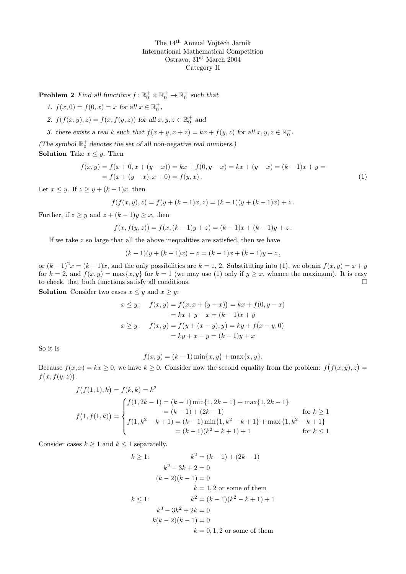The 14th Annual Vojtěch Jarník International Mathematical Competition Ostrava, 31<sup>st</sup> March 2004 Category II

**Problem 2** Find all functions  $f: \mathbb{R}_0^+ \times \mathbb{R}_0^+ \to \mathbb{R}_0^+$  such that

- 1.  $f(x, 0) = f(0, x) = x$  for all  $x \in \mathbb{R}_0^+$ ,
- 2.  $f(f(x, y), z) = f(x, f(y, z))$  for all  $x, y, z \in \mathbb{R}_0^+$  and
- 3. there exists a real k such that  $f(x+y, x+z) = kx + f(y, z)$  for all  $x, y, z \in \mathbb{R}_0^+$ .

(The symbol  $\mathbb{R}^+_0$  denotes the set of all non-negative real numbers.) **Solution** Take  $x \leq y$ . Then

$$
f(x,y) = f(x+0, x + (y-x)) = kx + f(0, y-x) = kx + (y-x) = (k-1)x + y =
$$
  
= f(x + (y-x), x + 0) = f(y,x). (1)

Let  $x \leq y$ . If  $z \geq y + (k-1)x$ , then

$$
f(f(x, y), z) = f(y + (k - 1)x, z) = (k - 1)(y + (k - 1)x) + z.
$$

Further, if  $z \geq y$  and  $z + (k-1)y \geq x$ , then

$$
f(x, f(y, z)) = f(x, (k - 1)y + z) = (k - 1)x + (k - 1)y + z.
$$

If we take z so large that all the above inequalities are satisfied, then we have

$$
(k-1)(y+(k-1)x) + z = (k-1)x + (k-1)y + z,
$$

or  $(k-1)^2x = (k-1)x$ , and the only possibilities are  $k = 1, 2$ . Substituting into (1), we obtain  $f(x, y) = x + y$ for  $k = 2$ , and  $f(x, y) = \max\{x, y\}$  for  $k = 1$  (we may use (1) only if  $y \ge x$ , whence the maximum). It is easy to check, that both functions satisfy all conditions.  $\Box$ 

**Solution** Consider two cases  $x \leq y$  and  $x \geq y$ :

$$
x \le y: \quad f(x, y) = f(x, x + (y - x)) = kx + f(0, y - x)
$$
  
=  $kx + y - x = (k - 1)x + y$   
 $x \ge y: \quad f(x, y) = f(y + (x - y), y) = ky + f(x - y, 0)$   
=  $ky + x - y = (k - 1)y + x$ 

So it is

$$
f(x, y) = (k - 1) \min\{x, y\} + \max\{x, y\}.
$$

Because  $f(x, x) = kx \ge 0$ , we have  $k \ge 0$ . Consider now the second equality from the problem:  $f(f(x, y), z) =$  $f(x, f(y, z))$ .

$$
f(f(1,1),k) = f(k,k) = k^2
$$
  
\n
$$
f(1, f(1,k)) = \begin{cases} f(1,2k-1) = (k-1)\min\{1,2k-1\} + \max\{1,2k-1\} \\ = (k-1) + (2k-1) & \text{for } k \ge 1 \\ f(1, k^2 - k + 1) = (k-1)\min\{1, k^2 - k + 1\} + \max\{1, k^2 - k + 1\} \\ = (k-1)(k^2 - k + 1) + 1 & \text{for } k \le 1 \end{cases}
$$

Consider cases  $k \geq 1$  and  $k \leq 1$  separatelly.

$$
k \ge 1:
$$
  
\n
$$
k^2 = (k - 1) + (2k - 1)
$$
  
\n
$$
k^2 - 3k + 2 = 0
$$
  
\n
$$
(k - 2)(k - 1) = 0
$$
  
\n
$$
k = 1, 2 \text{ or some of them}
$$
  
\n
$$
k \le 1:
$$
  
\n
$$
k^3 - 3k^2 + 2k = 0
$$
  
\n
$$
k(k - 2)(k - 1) = 0
$$
  
\n
$$
k = 0, 1, 2 \text{ or some of them}
$$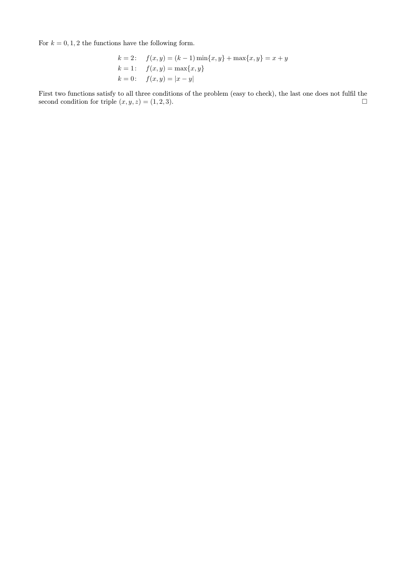For  $k = 0, 1, 2$  the functions have the following form.

$$
k = 2: \quad f(x, y) = (k - 1) \min\{x, y\} + \max\{x, y\} = x + y
$$
  
\n
$$
k = 1: \quad f(x, y) = \max\{x, y\}
$$
  
\n
$$
k = 0: \quad f(x, y) = |x - y|
$$

First two functions satisfy to all three conditions of the problem (easy to check), the last one does not fulfil the second condition for triple  $(x, y, z) = (1, 2, 3)$ .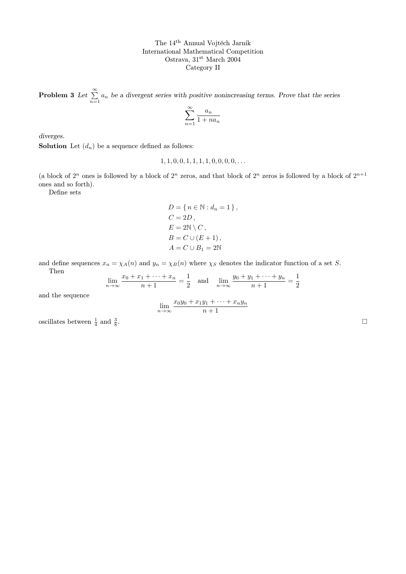The 14th Annual Vojtěch Jarník International Mathematical Competition Ostrava, 31<sup>st</sup> March 2004 Category II

**Problem 3** Let  $\sum_{n=1}^{\infty} a_n$  be a divergent series with positive nonincreasing terms. Prove that the series

$$
\sum_{n=1}^{\infty} \frac{a_n}{1 + na_n}
$$

diverges.

**Solution** Let  $(d_n)$  be a sequence defined as follows:

 $1, 1, 0, 0, 1, 1, 1, 1, 0, 0, 0, 0, \ldots$ 

(a block of  $2^n$  ones is followed by a block of  $2^n$  zeros, and that block of  $2^n$  zeros is followed by a block of  $2^{n+1}$ ones and so forth).

Define sets

$$
D = \{ n \in \mathbb{N} : d_n = 1 \},
$$
  
\n
$$
C = 2D,
$$
  
\n
$$
E = 2\mathbb{N} \setminus C,
$$
  
\n
$$
B = C \cup (E + 1),
$$
  
\n
$$
A = C \cup B_1 = 2\mathbb{N}
$$

and define sequences  $x_n = \chi_A(n)$  and  $y_n = \chi_B(n)$  where  $\chi_S$  denotes the indicator function of a set S. Then

$$
\lim_{n \to \infty} \frac{x_0 + x_1 + \dots + x_n}{n+1} = \frac{1}{2} \quad \text{and} \quad \lim_{n \to \infty} \frac{y_0 + y_1 + \dots + y_n}{n+1} = \frac{1}{2}
$$

and the sequence

$$
\lim_{n \to \infty} \frac{x_0 y_0 + x_1 y_1 + \dots + x_n y_n}{n+1}
$$

oscillates between  $\frac{1}{4}$  and  $\frac{3}{8}$ 

.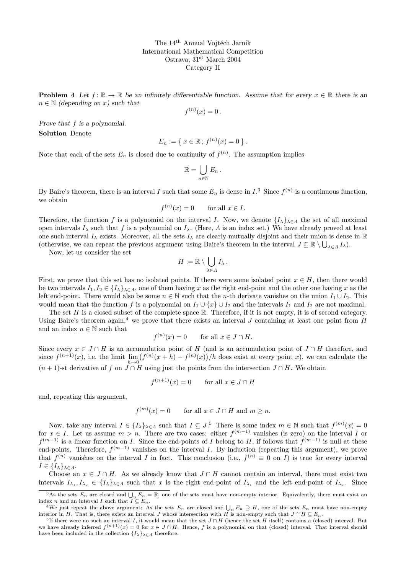The 14th Annual Vojtěch Jarník International Mathematical Competition Ostrava, 31<sup>st</sup> March 2004 Category II

**Problem 4** Let  $f: \mathbb{R} \to \mathbb{R}$  be an infinitely differentiable function. Assume that for every  $x \in \mathbb{R}$  there is an  $n \in \mathbb{N}$  (depending on x) such that

$$
f^{(n)}(x) = 0.
$$

Prove that f is a polynomial. Solution Denote

$$
E_n := \{ x \in \mathbb{R} \, ; \, f^{(n)}(x) = 0 \} \, .
$$

Note that each of the sets  $E_n$  is closed due to continuity of  $f^{(n)}$ . The assumption implies

$$
\mathbb{R}=\bigcup_{n\in\mathbb{N}}E_n.
$$

By Baire's theorem, there is an interval I such that some  $E_n$  is dense in  $I^3$ . Since  $f^{(n)}$  is a continuous function, we obtain

$$
f^{(n)}(x) = 0 \qquad \text{for all } x \in I.
$$

Therefore, the function f is a polynomial on the interval I. Now, we denote  $\{I_{\lambda}\}_{\lambda\in\Lambda}$  the set of all maximal open intervals  $I_\lambda$  such that f is a polynomial on  $I_\lambda$ . (Here, A is an index set.) We have already proved at least one such interval  $I_\lambda$  exists. Moreover, all the sets  $I_\lambda$  are clearly mutually disjoint and their union is dense in R (otherwise, we can repeat the previous argument using Baire's theorem in the interval  $J \subseteq \mathbb{R} \setminus \bigcup_{\lambda \in \Lambda} I_{\lambda}$ ).

Now, let us consider the set

$$
H:=\mathbb{R}\setminus\bigcup_{\lambda\in\varLambda}I_\lambda\,.
$$

First, we prove that this set has no isolated points. If there were some isolated point  $x \in H$ , then there would be two intervals  $I_1, I_2 \in \{I_\lambda\}_{\lambda \in \Lambda}$ , one of them having x as the right end-point and the other one having x as the left end-point. There would also be some  $n \in \mathbb{N}$  such that the *n*-th derivate vanishes on the union  $I_1 \cup I_2$ . This would mean that the function f is a polynomial on  $I_1 \cup \{x\} \cup I_2$  and the intervals  $I_1$  and  $I_2$  are not maximal.

The set  $H$  is a closed subset of the complete space  $\mathbb R$ . Therefore, if it is not empty, it is of second category. Using Baire's theorem again,<sup>4</sup> we prove that there exists an interval J containing at least one point from  $H$ and an index  $n \in \mathbb{N}$  such that

$$
f^{(n)}(x) = 0 \quad \text{for all } x \in J \cap H.
$$

Since every  $x \in J \cap H$  is an accumulation point of H (and is an accumulation point of  $J \cap H$  therefore, and since  $f^{(n+1)}(x)$ , i.e. the limit  $\lim_{h\to 0} (f^{(n)}(x+h) - f^{(n)}(x))/h$  does exist at every point x), we can calculate the  $(n + 1)$ -st derivative of f on  $J \cap H$  using just the points from the intersection  $J \cap H$ . We obtain

 $f^{(n+1)}(x) = 0$  for all  $x \in J \cap H$ 

and, repeating this argument,

$$
f^{(m)}(x) = 0 \qquad \text{for all } x \in J \cap H \text{ and } m \ge n.
$$

Now, take any interval  $I \in \{I_{\lambda}\}_{\lambda \in \Lambda}$  such that  $I \subseteq J$ .<sup>5</sup> There is some index  $m \in \mathbb{N}$  such that  $f^{(m)}(x) = 0$ for  $x \in I$ . Let us assume  $m > n$ . There are two cases: either  $f^{(m-1)}$  vanishes (is zero) on the interval I or  $f^{(m-1)}$  is a linear function on I. Since the end-points of I belong to H, if follows that  $f^{(m-1)}$  is null at these end-points. Therefore,  $f^{(m-1)}$  vanishes on the interval I. By induction (repeating this argument), we prove that  $f^{(n)}$  vanishes on the interval I in fact. This conclusion (i.e.,  $f^{(n)} \equiv 0$  on I) is true for every interval  $I \in \{I_{\lambda}\}_{{\lambda} \in {\Lambda}}.$ 

Choose an  $x \in J \cap H$ . As we already know that  $J \cap H$  cannot contain an interval, there must exist two intervals  $I_{\lambda_1}, I_{\lambda_2} \in \{I_{\lambda}\}_{\lambda \in \Lambda}$  such that x is the right end-point of  $I_{\lambda_1}$  and the left end-point of  $I_{\lambda_2}$ . Since

<sup>&</sup>lt;sup>3</sup>As the sets  $E_n$  are closed and  $\bigcup_n E_n = \mathbb{R}$ , one of the sets must have non-empty interior. Equivalently, there must exist an index n and an interval I such that  $I \subseteq E_n$ .

<sup>&</sup>lt;sup>4</sup>We just repeat the above argument: As the sets  $E_n$  are closed and  $\bigcup_n E_n \supseteq H$ , one of the sets  $E_n$  must have non-empty interior in H. That is, there exists an interval J whose intersection with H is non-empty such that  $J \cap H \subseteq E_n$ .

<sup>&</sup>lt;sup>5</sup>If there were no such an interval I, it would mean that the set  $J \cap H$  (hence the set H itself) contains a (closed) interval. But we have already inferred  $f^{(n+1)}(x) = 0$  for  $x \in J \cap H$ . Hence, f is a polynomial on that (closed) interval. That interval should have been included in the collection  $\{I_{\lambda}\}_{\lambda \in \Lambda}$  therefore.